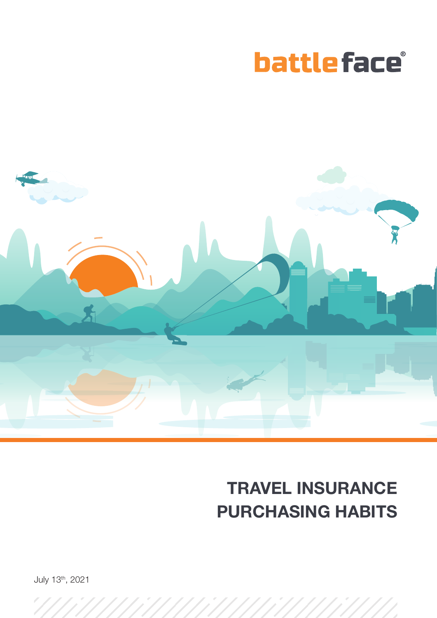



# TRAVEL INSURANCE PURCHASING HABITS

July 13th, 2021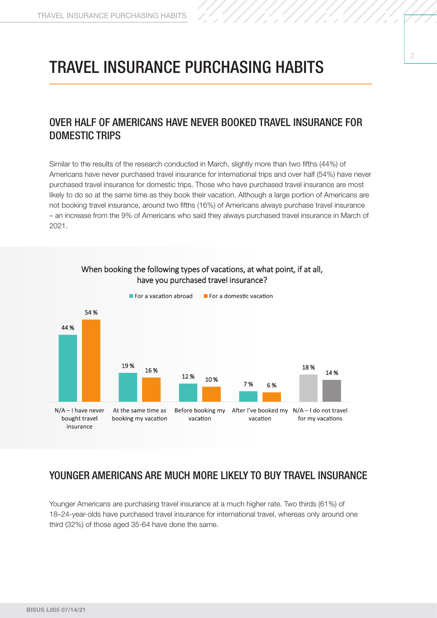### TRAVEL INSURANCE PURCHASING HABITS

#### OVER HALF OF AMERICANS HAVE NEVER BOOKED TRAVEL INSURANCE FOR DOMESTIC TRIPS

Similar to the results of the research conducted in March, slightly more than two fifths (44%) of Americans have never purchased travel insurance for international trips and over half (54%) have never purchased travel insurance for domestic trips. Those who have purchased travel insurance are most likely to do so at the same time as they book their vacation. Although a large portion of Americans are not booking travel insurance, around two fifths (16%) of Americans always purchase travel insurance – an increase from the 9% of Americans who said they always purchased travel insurance in March of 2021.



When booking the following types of vacations, at what point, if at all. have you purchased travel insurance?

#### YOUNGER AMERICANS ARE MUCH MORE LIKELY TO BUY TRAVEL INSURANCE

Younger Americans are purchasing travel insurance at a much higher rate. Two thirds (61%) of 18–24-year-olds have purchased travel insurance for international travel, whereas only around one third (32%) of those aged 35-64 have done the same.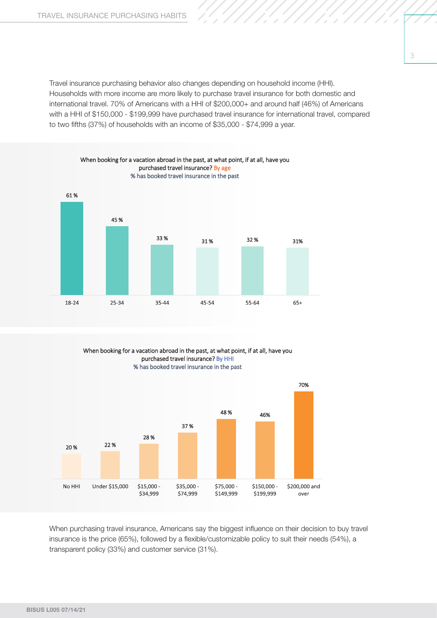Travel insurance purchasing behavior also changes depending on household income (HHI). Households with more income are more likely to purchase travel insurance for both domestic and international travel. 70% of Americans with a HHI of \$200,000+ and around half (46%) of Americans with a HHI of \$150,000 - \$199,999 have purchased travel insurance for international travel, compared to two fifths (37%) of households with an income of \$35,000 - \$74,999 a year.



When booking for a vacation abroad in the past, at what point, if at all, have you purchased travel insurance? By HHI % has booked travel insurance in the past



When purchasing travel insurance, Americans say the biggest influence on their decision to buy travel insurance is the price (65%), followed by a flexible/customizable policy to suit their needs (54%), a transparent policy (33%) and customer service (31%).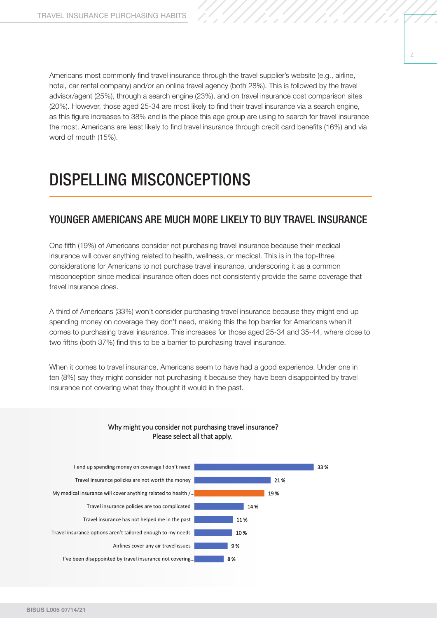Americans most commonly find travel insurance through the travel supplier's website (e.g., airline, hotel, car rental company) and/or an online travel agency (both 28%). This is followed by the travel advisor/agent (25%), through a search engine (23%), and on travel insurance cost comparison sites (20%). However, those aged 25-34 are most likely to find their travel insurance via a search engine, as this figure increases to 38% and is the place this age group are using to search for travel insurance the most. Americans are least likely to find travel insurance through credit card benefits (16%) and via word of mouth (15%).

## DISPELLING MISCONCEPTIONS

#### YOUNGER AMERICANS ARE MUCH MORE LIKELY TO BUY TRAVEL INSURANCE

One fifth (19%) of Americans consider not purchasing travel insurance because their medical insurance will cover anything related to health, wellness, or medical. This is in the top-three considerations for Americans to not purchase travel insurance, underscoring it as a common misconception since medical insurance often does not consistently provide the same coverage that travel insurance does.

A third of Americans (33%) won't consider purchasing travel insurance because they might end up spending money on coverage they don't need, making this the top barrier for Americans when it comes to purchasing travel insurance. This increases for those aged 25-34 and 35-44, where close to two fifths (both 37%) find this to be a barrier to purchasing travel insurance.

When it comes to travel insurance, Americans seem to have had a good experience. Under one in ten (8%) say they might consider not purchasing it because they have been disappointed by travel insurance not covering what they thought it would in the past.



#### Why might you consider not purchasing travel insurance? Please select all that apply.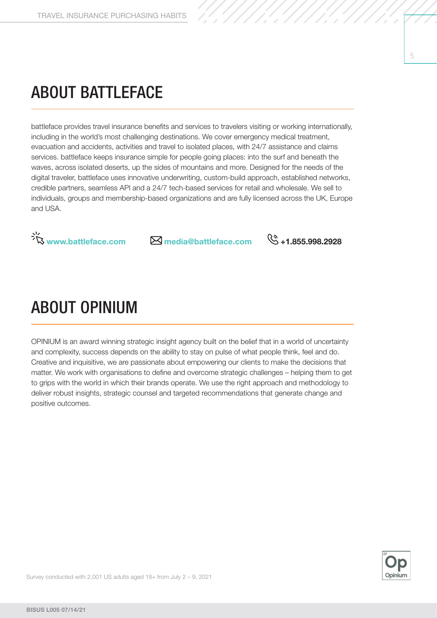## ABOUT BATTLEFACE

battleface provides travel insurance benefits and services to travelers visiting or working internationally, including in the world's most challenging destinations. We cover emergency medical treatment, evacuation and accidents, activities and travel to isolated places, with 24/7 assistance and claims services. battleface keeps insurance simple for people going places: into the surf and beneath the waves, across isolated deserts, up the sides of mountains and more. Designed for the needs of the digital traveler, battleface uses innovative underwriting, custom-build approach, established networks, credible partners, seamless API and a 24/7 tech-based services for retail and wholesale. We sell to individuals, groups and membership-based organizations and are fully licensed across the UK, Europe and USA.



## ABOUT OPINIUM

OPINIUM is an award winning strategic insight agency built on the belief that in a world of uncertainty and complexity, success depends on the ability to stay on pulse of what people think, feel and do. Creative and inquisitive, we are passionate about empowering our clients to make the decisions that matter. We work with organisations to define and overcome strategic challenges – helping them to get to grips with the world in which their brands operate. We use the right approach and methodology to deliver robust insights, strategic counsel and targeted recommendations that generate change and positive outcomes.



5